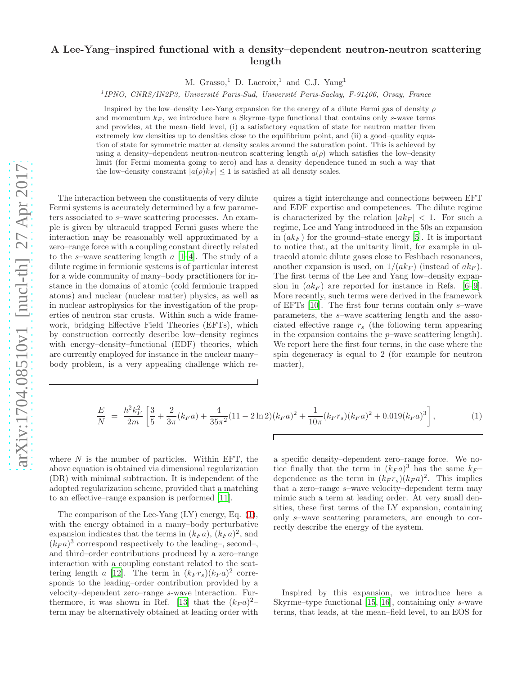## A Lee-Yang–inspired functional with a density–dependent neutron-neutron scattering length

M. Grasso,<sup>1</sup> D. Lacroix,<sup>1</sup> and C.J. Yang<sup>1</sup>

<sup>1</sup>IPNO, CNRS/IN2P3, Université Paris-Sud, Université Paris-Saclay, F-91406, Orsay, France

Inspired by the low-density Lee-Yang expansion for the energy of a dilute Fermi gas of density  $\rho$ and momentum  $k_F$ , we introduce here a Skyrme–type functional that contains only s-wave terms and provides, at the mean–field level, (i) a satisfactory equation of state for neutron matter from extremely low densities up to densities close to the equilibrium point, and (ii) a good–quality equation of state for symmetric matter at density scales around the saturation point. This is achieved by using a density–dependent neutron-neutron scattering length  $a(\rho)$  which satisfies the low–density limit (for Fermi momenta going to zero) and has a density dependence tuned in such a way that the low–density constraint  $|a(\rho)k_F| \leq 1$  is satisfied at all density scales.

The interaction between the constituents of very dilute Fermi systems is accurately determined by a few parameters associated to s–wave scattering processes. An example is given by ultracold trapped Fermi gases where the interaction may be reasonably well approximated by a zero–range force with a coupling constant directly related to the s–wave scattering length  $a$  [\[1](#page-3-0)[–4](#page-3-1)]. The study of a dilute regime in fermionic systems is of particular interest for a wide community of many–body practitioners for instance in the domains of atomic (cold fermionic trapped atoms) and nuclear (nuclear matter) physics, as well as in nuclear astrophysics for the investigation of the properties of neutron star crusts. Within such a wide framework, bridging Effective Field Theories (EFTs), which by construction correctly describe low–density regimes with energy–density–functional (EDF) theories, which are currently employed for instance in the nuclear many– body problem, is a very appealing challenge which requires a tight interchange and connections between EFT and EDF expertise and competences. The dilute regime is characterized by the relation  $|ak_F| < 1$ . For such a regime, Lee and Yang introduced in the 50s an expansion in  $(ak_F)$  for the ground–state energy [\[5\]](#page-3-2). It is important to notice that, at the unitarity limit, for example in ultracold atomic dilute gases close to Feshbach resonances, another expansion is used, on  $1/(ak_F)$  (instead of  $ak_F$ ). The first terms of the Lee and Yang low–density expansion in  $(ak_F)$  are reported for instance in Refs. [\[6](#page-3-3)[–9\]](#page-4-0). More recently, such terms were derived in the framework of EFTs [\[10\]](#page-4-1). The first four terms contain only s–wave parameters, the s–wave scattering length and the associated effective range  $r_s$  (the following term appearing in the expansion contains the  $p$ –wave scattering length). We report here the first four terms, in the case where the spin degeneracy is equal to 2 (for example for neutron matter),

<span id="page-0-0"></span>
$$
\frac{E}{N} = \frac{\hbar^2 k_F^2}{2m} \left[ \frac{3}{5} + \frac{2}{3\pi} (k_F a) + \frac{4}{35\pi^2} (11 - 2 \ln 2) (k_F a)^2 + \frac{1}{10\pi} (k_F r_s) (k_F a)^2 + 0.019 (k_F a)^3 \right],\tag{1}
$$

where  $N$  is the number of particles. Within EFT, the above equation is obtained via dimensional regularization (DR) with minimal subtraction. It is independent of the adopted regularization scheme, provided that a matching to an effective–range expansion is performed [\[11\]](#page-4-2).

The comparison of the Lee-Yang (LY) energy, Eq. [\(1\)](#page-0-0), with the energy obtained in a many–body perturbative expansion indicates that the terms in  $(k_F a)$ ,  $(k_F a)^2$ , and  $(k_F a)^3$  correspond respectively to the leading-, second-, and third–order contributions produced by a zero–range interaction with a coupling constant related to the scat-tering length a [\[12](#page-4-3)]. The term in  $(k_F r_s)(k_F a)^2$  corresponds to the leading–order contribution provided by a velocity–dependent zero–range s-wave interaction. Fur-thermore, it was shown in Ref. [\[13\]](#page-4-4) that the  $(k_F a)^2$ term may be alternatively obtained at leading order with a specific density–dependent zero–range force. We notice finally that the term in  $(k_F a)^3$  has the same  $k_F$ dependence as the term in  $(k_F r_s)(k_F a)^2$ . This implies that a zero–range s–wave velocity–dependent term may mimic such a term at leading order. At very small densities, these first terms of the LY expansion, containing only s–wave scattering parameters, are enough to correctly describe the energy of the system.

Inspired by this expansion, we introduce here a Skyrme–type functional [\[15,](#page-4-5) [16](#page-4-6)], containing only s-wave terms, that leads, at the mean–field level, to an EOS for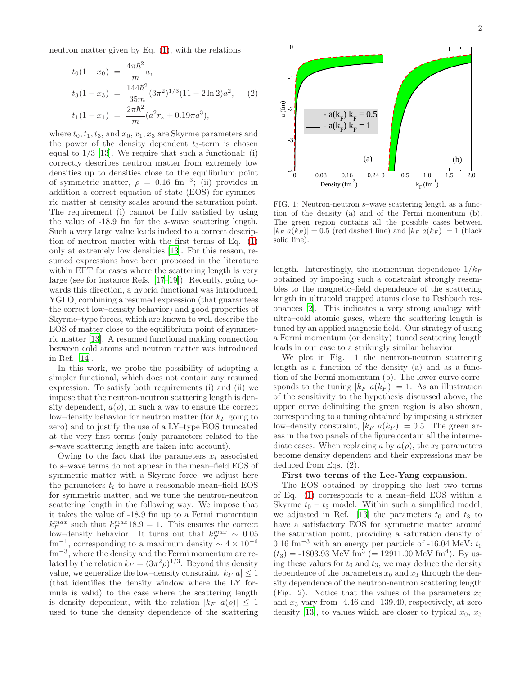neutron matter given by Eq. [\(1\)](#page-0-0), with the relations

$$
t_0(1 - x_0) = \frac{4\pi\hbar^2}{m}a,
$$
  
\n
$$
t_3(1 - x_3) = \frac{144\hbar^2}{35m}(3\pi^2)^{1/3}(11 - 2\ln 2)a^2,
$$
 (2)  
\n
$$
t_1(1 - x_1) = \frac{2\pi\hbar^2}{m}(a^2r_s + 0.19\pi a^3),
$$

where  $t_0, t_1, t_3$ , and  $x_0, x_1, x_3$  are Skyrme parameters and the power of the density–dependent  $t_3$ -term is chosen equal to  $1/3$  [\[13\]](#page-4-4). We require that such a functional: (i) correctly describes neutron matter from extremely low densities up to densities close to the equilibrium point of symmetric matter,  $\rho = 0.16$  fm<sup>-3</sup>; (ii) provides in addition a correct equation of state (EOS) for symmetric matter at density scales around the saturation point. The requirement (i) cannot be fully satisfied by using the value of -18.9 fm for the s-wave scattering length. Such a very large value leads indeed to a correct description of neutron matter with the first terms of Eq. [\(1\)](#page-0-0) only at extremely low densities [\[13\]](#page-4-4). For this reason, resumed expressions have been proposed in the literature within EFT for cases where the scattering length is very large (see for instance Refs. [\[17](#page-4-7)[–19](#page-4-8)]). Recently, going towards this direction, a hybrid functional was introduced, YGLO, combining a resumed expression (that guarantees the correct low–density behavior) and good properties of Skyrme–type forces, which are known to well describe the EOS of matter close to the equilibrium point of symmetric matter [\[13\]](#page-4-4). A resumed functional making connection between cold atoms and neutron matter was introduced in Ref. [\[14](#page-4-9)].

In this work, we probe the possibility of adopting a simpler functional, which does not contain any resumed expression. To satisfy both requirements (i) and (ii) we impose that the neutron-neutron scattering length is density dependent,  $a(\rho)$ , in such a way to ensure the correct low–density behavior for neutron matter (for  $k_F$  going to zero) and to justify the use of a LY–type EOS truncated at the very first terms (only parameters related to the s-wave scattering length are taken into account).

Owing to the fact that the parameters  $x_i$  associated to s–wave terms do not appear in the mean–field EOS of symmetric matter with a Skyrme force, we adjust here the parameters  $t_i$  to have a reasonable mean–field EOS for symmetric matter, and we tune the neutron-neutron scattering length in the following way: We impose that it takes the value of -18.9 fm up to a Fermi momentum  $k_F^{max}$  such that  $k_F^{max}$ 18.9 = 1. This ensures the correct low–density behavior. It turns out that  $k_F^{max} \sim 0.05$  $\text{fm}^{-1}$ , corresponding to a maximum density ~ 4 × 10<sup>-6</sup> fm<sup>-3</sup>, where the density and the Fermi momentum are related by the relation  $k_F = (3\pi^2 \rho)^{1/3}$ . Beyond this density value, we generalize the low-density constraint  $|k_F|a| \leq 1$ (that identifies the density window where the LY formula is valid) to the case where the scattering length is density dependent, with the relation  $|k_F \, a(\rho)| \leq 1$ used to tune the density dependence of the scattering



FIG. 1: Neutron-neutron s–wave scattering length as a function of the density (a) and of the Fermi momentum (b). The green region contains all the possible cases between  $|k_F a(k_F)| = 0.5$  (red dashed line) and  $|k_F a(k_F)| = 1$  (black solid line).

length. Interestingly, the momentum dependence  $1/k_F$ obtained by imposing such a constraint strongly resembles to the magnetic–field dependence of the scattering length in ultracold trapped atoms close to Feshbach resonances [\[2\]](#page-3-4). This indicates a very strong analogy with ultra–cold atomic gases, where the scattering length is tuned by an applied magnetic field. Our strategy of using a Fermi momentum (or density)–tuned scattering length leads in our case to a strikingly similar behavior.

We plot in Fig. 1 the neutron-neutron scattering length as a function of the density (a) and as a function of the Fermi momentum (b). The lower curve corresponds to the tuning  $|k_F a(k_F)| = 1$ . As an illustration of the sensitivity to the hypothesis discussed above, the upper curve delimiting the green region is also shown, corresponding to a tuning obtained by imposing a stricter low–density constraint,  $|k_F a(k_F)| = 0.5$ . The green areas in the two panels of the figure contain all the intermediate cases. When replacing a by  $a(\rho)$ , the  $x_i$  parameters become density dependent and their expressions may be deduced from Eqs. (2).

## First two terms of the Lee-Yang expansion.

The EOS obtained by dropping the last two terms of Eq. [\(1\)](#page-0-0) corresponds to a mean–field EOS within a Skyrme  $t_0 - t_3$  model. Within such a simplified model, we adjusted in Ref. [\[13](#page-4-4)] the parameters  $t_0$  and  $t_3$  to have a satisfactory EOS for symmetric matter around the saturation point, providing a saturation density of 0.16 fm<sup>-3</sup> with an energy per particle of -16.04 MeV:  $t_0$  $(t_3) = -1803.93$  MeV fm<sup>3</sup> (= 12911.00 MeV fm<sup>4</sup>). By using these values for  $t_0$  and  $t_3$ , we may deduce the density dependence of the parameters  $x_0$  and  $x_3$  through the density dependence of the neutron-neutron scattering length (Fig. 2). Notice that the values of the parameters  $x_0$ and  $x_3$  vary from -4.46 and -139.40, respectively, at zero density [\[13](#page-4-4)], to values which are closer to typical  $x_0, x_3$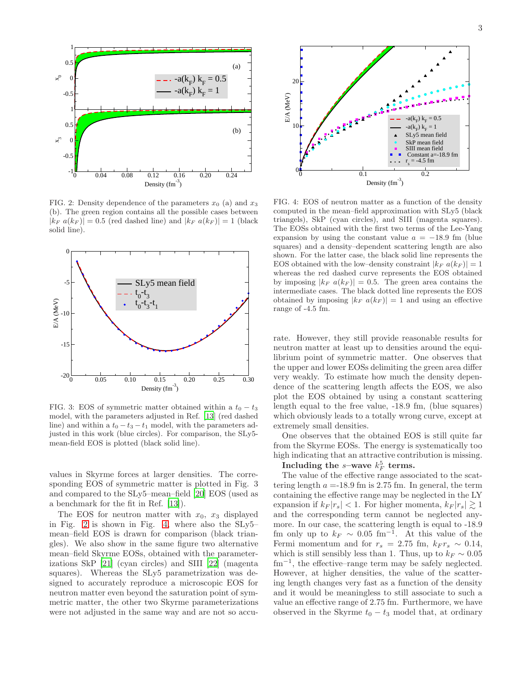

<span id="page-2-0"></span>FIG. 2: Density dependence of the parameters  $x_0$  (a) and  $x_3$ (b). The green region contains all the possible cases between  $|k_F a(k_F)| = 0.5$  (red dashed line) and  $|k_F a(k_F)| = 1$  (black solid line).



FIG. 3: EOS of symmetric matter obtained within a  $t_0 - t_3$ model, with the parameters adjusted in Ref. [\[13\]](#page-4-4) (red dashed line) and within a  $t_0 - t_3 - t_1$  model, with the parameters adjusted in this work (blue circles). For comparison, the SLy5 mean-field EOS is plotted (black solid line).

values in Skyrme forces at larger densities. The corresponding EOS of symmetric matter is plotted in Fig. 3 and compared to the SLy5–mean–field [\[20](#page-4-10)] EOS (used as a benchmark for the fit in Ref. [\[13\]](#page-4-4)).

The EOS for neutron matter with  $x_0$ ,  $x_3$  displayed in Fig. [2](#page-2-0) is shown in Fig. [4,](#page-2-1) where also the SLy5– mean–field EOS is drawn for comparison (black triangles). We also show in the same figure two alternative mean–field Skyrme EOSs, obtained with the parameterizations SkP [\[21](#page-4-11)] (cyan circles) and SIII [\[22\]](#page-4-12) (magenta squares). Whereas the SLy5 parametrization was designed to accurately reproduce a microscopic EOS for neutron matter even beyond the saturation point of symmetric matter, the other two Skyrme parameterizations were not adjusted in the same way and are not so accu-



<span id="page-2-1"></span>FIG. 4: EOS of neutron matter as a function of the density computed in the mean–field approximation with SLy5 (black triangels), SkP (cyan circles), and SIII (magenta squares). The EOSs obtained with the first two terms of the Lee-Yang expansion by using the constant value  $a = -18.9$  fm (blue squares) and a density–dependent scattering length are also shown. For the latter case, the black solid line represents the EOS obtained with the low–density constraint  $|k_F a(k_F)| = 1$ whereas the red dashed curve represents the EOS obtained by imposing  $|k_F a(k_F)| = 0.5$ . The green area contains the intermediate cases. The black dotted line represents the EOS obtained by imposing  $|k_F a(k_F)| = 1$  and using an effective range of -4.5 fm.

rate. However, they still provide reasonable results for neutron matter at least up to densities around the equilibrium point of symmetric matter. One observes that the upper and lower EOSs delimiting the green area differ very weakly. To estimate how much the density dependence of the scattering length affects the EOS, we also plot the EOS obtained by using a constant scattering length equal to the free value, -18.9 fm, (blue squares) which obviously leads to a totally wrong curve, except at extremely small densities.

One observes that the obtained EOS is still quite far from the Skyrme EOSs. The energy is systematically too high indicating that an attractive contribution is missing.

## Including the s-wave  $k_F^5$  terms.

The value of the effective range associated to the scattering length  $a = 18.9$  fm is 2.75 fm. In general, the term containing the effective range may be neglected in the LY expansion if  $k_F |r_s| < 1$ . For higher momenta,  $k_F |r_s| \gtrsim 1$ and the corresponding term cannot be neglected anymore. In our case, the scattering length is equal to -18.9 fm only up to  $k_F \sim 0.05$  fm<sup>-1</sup>. At this value of the Fermi momentum and for  $r_s = 2.75$  fm,  $k_F r_s \sim 0.14$ , which is still sensibly less than 1. Thus, up to  $k_F \sim 0.05$ fm<sup>−</sup><sup>1</sup> , the effective–range term may be safely neglected. However, at higher densities, the value of the scattering length changes very fast as a function of the density and it would be meaningless to still associate to such a value an effective range of 2.75 fm. Furthermore, we have observed in the Skyrme  $t_0 - t_3$  model that, at ordinary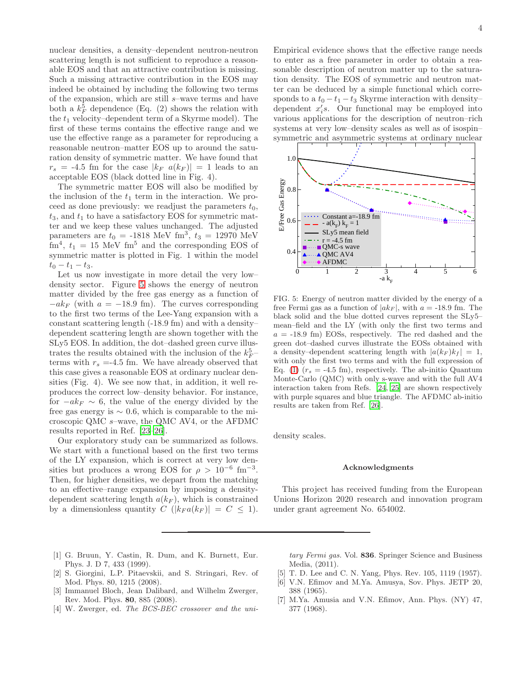nuclear densities, a density–dependent neutron-neutron scattering length is not sufficient to reproduce a reasonable EOS and that an attractive contribution is missing. Such a missing attractive contribution in the EOS may indeed be obtained by including the following two terms of the expansion, which are still  $s$ -wave terms and have both a  $k_F^5$  dependence (Eq. (2) shows the relation with the  $t_1$  velocity–dependent term of a Skyrme model). The first of these terms contains the effective range and we use the effective range as a parameter for reproducing a reasonable neutron–matter EOS up to around the saturation density of symmetric matter. We have found that  $r_s = -4.5$  fm for the case  $|k_F \ a(k_F)| = 1$  leads to an acceptable EOS (black dotted line in Fig. 4).

The symmetric matter EOS will also be modified by the inclusion of the  $t_1$  term in the interaction. We proceed as done previously: we readjust the parameters  $t_0$ ,  $t_3$ , and  $t_1$  to have a satisfactory EOS for symmetric matter and we keep these values unchanged. The adjusted parameters are  $t_0 = -1818$  MeV fm<sup>3</sup>,  $t_3 = 12970$  MeV  $\text{fm}^4$ ,  $t_1 = 15 \text{ MeV fm}^5$  and the corresponding EOS of symmetric matter is plotted in Fig. 1 within the model  $t_0 - t_1 - t_3.$ 

Let us now investigate in more detail the very low– density sector. Figure [5](#page-3-5) shows the energy of neutron matter divided by the free gas energy as a function of  $-ak_F$  (with  $a = -18.9$  fm). The curves corresponding to the first two terms of the Lee-Yang expansion with a constant scattering length (-18.9 fm) and with a density– dependent scattering length are shown together with the SLy5 EOS. In addition, the dot–dashed green curve illustrates the results obtained with the inclusion of the  $k_F^5$ terms with  $r_s = -4.5$  fm. We have already observed that this case gives a reasonable EOS at ordinary nuclear densities (Fig. 4). We see now that, in addition, it well reproduces the correct low–density behavior. For instance, for  $-ak_F \sim 6$ , the value of the energy divided by the free gas energy is  $\sim 0.6$ , which is comparable to the microscopic QMC s–wave, the QMC AV4, or the AFDMC results reported in Ref. [\[23](#page-4-13)[–26](#page-4-14)].

Our exploratory study can be summarized as follows. We start with a functional based on the first two terms of the LY expansion, which is correct at very low densities but produces a wrong EOS for  $\rho > 10^{-6}$  fm<sup>-3</sup>. Then, for higher densities, we depart from the matching to an effective–range expansion by imposing a densitydependent scattering length  $a(k_F)$ , which is constrained by a dimensionless quantity  $C(|k_F a(k_F)| = C \leq 1)$ . Empirical evidence shows that the effective range needs to enter as a free parameter in order to obtain a reasonable description of neutron matter up to the saturation density. The EOS of symmetric and neutron matter can be deduced by a simple functional which corresponds to a  $t_0 - t_1 - t_3$  Skyrme interaction with density– dependent  $x_i$ 's. Our functional may be employed into various applications for the description of neutron–rich systems at very low–density scales as well as of isospin– symmetric and asymmetric systems at ordinary nuclear



<span id="page-3-5"></span>FIG. 5: Energy of neutron matter divided by the energy of a free Fermi gas as a function of  $|ak_F|$ , with  $a = -18.9$  fm. The black solid and the blue dotted curves represent the SLy5– mean–field and the LY (with only the first two terms and  $a = -18.9$  fm) EOSs, respectively. The red dashed and the green dot–dashed curves illustrate the EOSs obtained with a density–dependent scattering length with  $|a(k_F)k_f| = 1$ , with only the first two terms and with the full expression of Eq. [\(1\)](#page-0-0)  $(r_s = -4.5 \text{ fm})$ , respectively. The ab-initio Quantum Monte-Carlo (QMC) with only s-wave and with the full AV4 interaction taken from Refs. [\[24,](#page-4-15) [25](#page-4-16)] are shown respectively with purple squares and blue triangle. The AFDMC ab-initio results are taken from Ref. [\[26](#page-4-14)].

density scales.

## Acknowledgments

This project has received funding from the European Unions Horizon 2020 research and innovation program under grant agreement No. 654002.

- <span id="page-3-0"></span>[1] G. Bruun, Y. Castin, R. Dum, and K. Burnett, Eur. Phys. J. D 7, 433 (1999).
- <span id="page-3-4"></span>[2] S. Giorgini, L.P. Pitaevskii, and S. Stringari, Rev. of Mod. Phys. 80, 1215 (2008).
- [3] Immanuel Bloch, Jean Dalibard, and Wilhelm Zwerger, Rev. Mod. Phys. 80, 885 (2008).
- <span id="page-3-1"></span>[4] W. Zwerger, ed. The BCS-BEC crossover and the uni-

tary Fermi gas. Vol. 836. Springer Science and Business Media, (2011).

- <span id="page-3-2"></span>[5] T. D. Lee and C. N. Yang, Phys. Rev. 105, 1119 (1957).
- <span id="page-3-3"></span>[6] V.N. Efimov and M.Ya. Amusya, Sov. Phys. JETP 20, 388 (1965).
- [7] M.Ya. Amusia and V.N. Efimov, Ann. Phys. (NY) 47, 377 (1968).